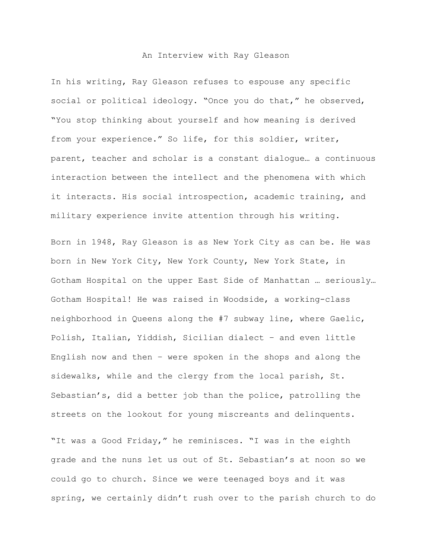## An Interview with Ray Gleason

In his writing, Ray Gleason refuses to espouse any specific social or political ideology. "Once you do that," he observed, "You stop thinking about yourself and how meaning is derived from your experience." So life, for this soldier, writer, parent, teacher and scholar is a constant dialogue… a continuous interaction between the intellect and the phenomena with which it interacts. His social introspection, academic training, and military experience invite attention through his writing.

Born in 1948, Ray Gleason is as New York City as can be. He was born in New York City, New York County, New York State, in Gotham Hospital on the upper East Side of Manhattan … seriously… Gotham Hospital! He was raised in Woodside, a working-class neighborhood in Queens along the #7 subway line, where Gaelic, Polish, Italian, Yiddish, Sicilian dialect – and even little English now and then – were spoken in the shops and along the sidewalks, while and the clergy from the local parish, St. Sebastian's, did a better job than the police, patrolling the streets on the lookout for young miscreants and delinquents.

"It was a Good Friday," he reminisces. "I was in the eighth grade and the nuns let us out of St. Sebastian's at noon so we could go to church. Since we were teenaged boys and it was spring, we certainly didn't rush over to the parish church to do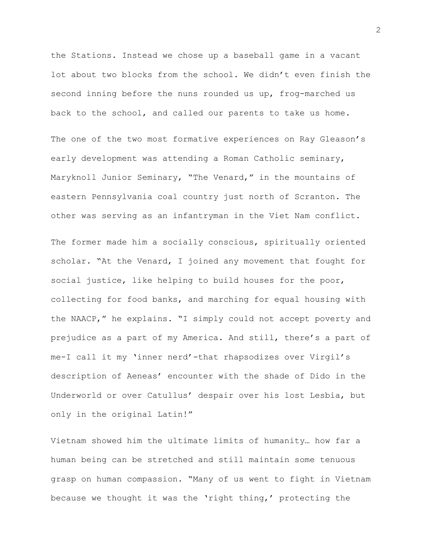the Stations. Instead we chose up a baseball game in a vacant lot about two blocks from the school. We didn't even finish the second inning before the nuns rounded us up, frog-marched us back to the school, and called our parents to take us home.

The one of the two most formative experiences on Ray Gleason's early development was attending a Roman Catholic seminary, Maryknoll Junior Seminary, "The Venard," in the mountains of eastern Pennsylvania coal country just north of Scranton. The other was serving as an infantryman in the Viet Nam conflict.

The former made him a socially conscious, spiritually oriented scholar. "At the Venard, I joined any movement that fought for social justice, like helping to build houses for the poor, collecting for food banks, and marching for equal housing with the NAACP," he explains. "I simply could not accept poverty and prejudice as a part of my America. And still, there's a part of me-I call it my 'inner nerd'-that rhapsodizes over Virgil's description of Aeneas' encounter with the shade of Dido in the Underworld or over Catullus' despair over his lost Lesbia, but only in the original Latin!"

Vietnam showed him the ultimate limits of humanity… how far a human being can be stretched and still maintain some tenuous grasp on human compassion. "Many of us went to fight in Vietnam because we thought it was the 'right thing,' protecting the

2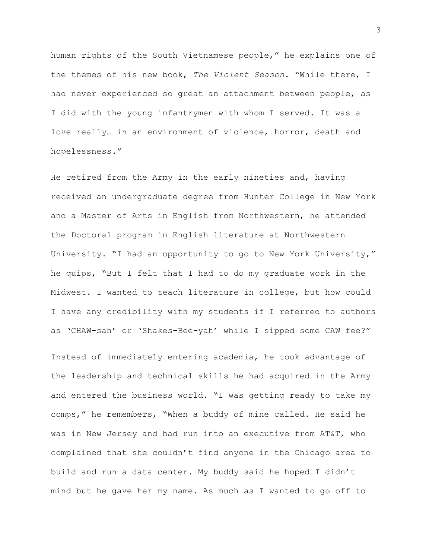human rights of the South Vietnamese people," he explains one of the themes of his new book, *The Violent Season*. "While there, I had never experienced so great an attachment between people, as I did with the young infantrymen with whom I served. It was a love really… in an environment of violence, horror, death and hopelessness."

He retired from the Army in the early nineties and, having received an undergraduate degree from Hunter College in New York and a Master of Arts in English from Northwestern, he attended the Doctoral program in English literature at Northwestern University. "I had an opportunity to go to New York University," he quips, "But I felt that I had to do my graduate work in the Midwest. I wanted to teach literature in college, but how could I have any credibility with my students if I referred to authors as 'CHAW-sah' or 'Shakes-Bee-yah' while I sipped some CAW fee?"

Instead of immediately entering academia, he took advantage of the leadership and technical skills he had acquired in the Army and entered the business world. "I was getting ready to take my comps," he remembers, "When a buddy of mine called. He said he was in New Jersey and had run into an executive from AT&T, who complained that she couldn't find anyone in the Chicago area to build and run a data center. My buddy said he hoped I didn't mind but he gave her my name. As much as I wanted to go off to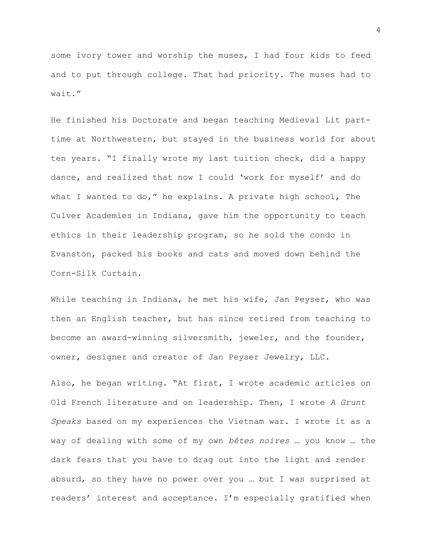some ivory tower and worship the muses, I had four kids to feed and to put through college. That had priority. The muses had to wait."

He finished his Doctorate and began teaching Medieval Lit parttime at Northwestern, but stayed in the business world for about ten years. "I finally wrote my last tuition check, did a happy dance, and realized that now I could 'work for myself' and do what I wanted to do," he explains. A private high school, The Culver Academies in Indiana, gave him the opportunity to teach ethics in their leadership program, so he sold the condo in Evanston, packed his books and cats and moved down behind the Corn-Silk Curtain.

While teaching in Indiana, he met his wife, Jan Peyser, who was then an English teacher, but has since retired from teaching to become an award-winning silversmith, jeweler, and the founder, owner, designer and creator of Jan Peyser Jewelry, LLC.

Also, he began writing. "At first, I wrote academic articles on Old French literature and on leadership. Then, I wrote *A Grunt Speaks* based on my experiences the Vietnam war. I wrote it as a way of dealing with some of my own *bêtes noires* … you know … the dark fears that you have to drag out into the light and render absurd, so they have no power over you … but I was surprised at readers' interest and acceptance. I'm especially gratified when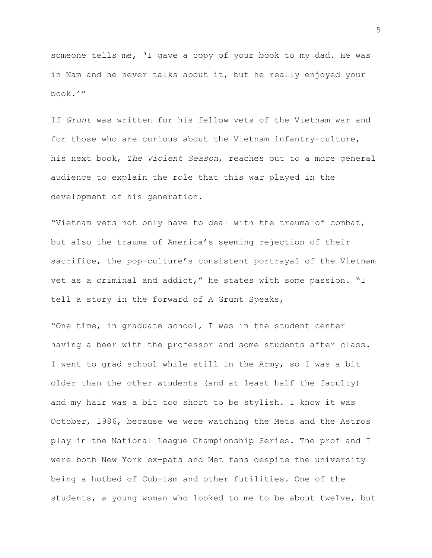someone tells me, 'I gave a copy of your book to my dad. He was in Nam and he never talks about it, but he really enjoyed your book.'"

If *Grunt* was written for his fellow vets of the Vietnam war and for those who are curious about the Vietnam infantry-culture, his next book, *The Violent Season*, reaches out to a more general audience to explain the role that this war played in the development of his generation.

"Vietnam vets not only have to deal with the trauma of combat, but also the trauma of America's seeming rejection of their sacrifice, the pop-culture's consistent portrayal of the Vietnam vet as a criminal and addict," he states with some passion. "I tell a story in the forward of A Grunt Speaks,

"One time, in graduate school, I was in the student center having a beer with the professor and some students after class. I went to grad school while still in the Army, so I was a bit older than the other students (and at least half the faculty) and my hair was a bit too short to be stylish. I know it was October, 1986, because we were watching the Mets and the Astros play in the National League Championship Series. The prof and I were both New York ex-pats and Met fans despite the university being a hotbed of Cub-ism and other futilities. One of the students, a young woman who looked to me to be about twelve, but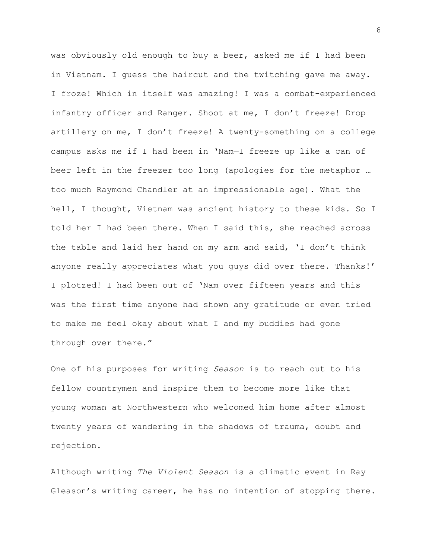was obviously old enough to buy a beer, asked me if I had been in Vietnam. I guess the haircut and the twitching gave me away. I froze! Which in itself was amazing! I was a combat-experienced infantry officer and Ranger. Shoot at me, I don't freeze! Drop artillery on me, I don't freeze! A twenty-something on a college campus asks me if I had been in 'Nam—I freeze up like a can of beer left in the freezer too long (apologies for the metaphor … too much Raymond Chandler at an impressionable age). What the hell, I thought, Vietnam was ancient history to these kids. So I told her I had been there. When I said this, she reached across the table and laid her hand on my arm and said, 'I don't think anyone really appreciates what you guys did over there. Thanks!' I plotzed! I had been out of 'Nam over fifteen years and this was the first time anyone had shown any gratitude or even tried to make me feel okay about what I and my buddies had gone through over there."

One of his purposes for writing *Season* is to reach out to his fellow countrymen and inspire them to become more like that young woman at Northwestern who welcomed him home after almost twenty years of wandering in the shadows of trauma, doubt and rejection.

Although writing *The Violent Season* is a climatic event in Ray Gleason's writing career, he has no intention of stopping there.

6